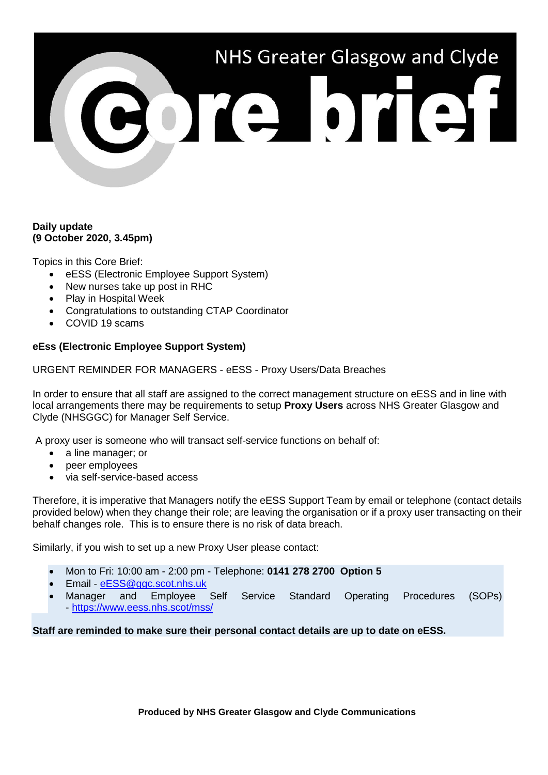# NHS Greater Glasgow and Clyde

# **Daily update (9 October 2020, 3.45pm)**

Topics in this Core Brief:

- eESS (Electronic Employee Support System)
- New nurses take up post in RHC
- Play in Hospital Week
- Congratulations to outstanding CTAP Coordinator
- COVID 19 scams

# **eEss (Electronic Employee Support System)**

URGENT REMINDER FOR MANAGERS - eESS - Proxy Users/Data Breaches

In order to ensure that all staff are assigned to the correct management structure on eESS and in line with local arrangements there may be requirements to setup **Proxy Users** across NHS Greater Glasgow and Clyde (NHSGGC) for Manager Self Service.

A proxy user is someone who will transact self-service functions on behalf of:

- a line manager; or
- peer employees
- via self-service-based access

Therefore, it is imperative that Managers notify the eESS Support Team by email or telephone (contact details provided below) when they change their role; are leaving the organisation or if a proxy user transacting on their behalf changes role. This is to ensure there is no risk of data breach.

Similarly, if you wish to set up a new Proxy User please contact:

- Mon to Fri: 10:00 am 2:00 pm Telephone: **0141 278 2700 Option 5**
- Email [eESS@ggc.scot.nhs.uk](mailto:eESS@ggc.scot.nhs.uk)
- Manager and Employee Self Service Standard Operating Procedures (SOPs) - <https://www.eess.nhs.scot/mss/>

**Staff are reminded to make sure their personal contact details are up to date on eESS.**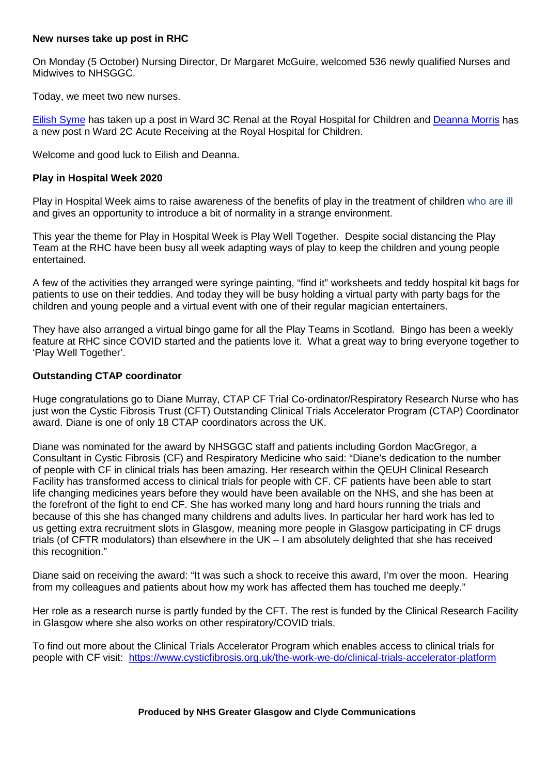# **New nurses take up post in RHC**

On Monday (5 October) Nursing Director, Dr Margaret McGuire, welcomed 536 newly qualified Nurses and Midwives to NHSGGC.

Today, we meet two new nurses.

[Eilish Syme](https://www.youtube.com/watch?v=Xp-idDVUChk) has taken up a post in Ward 3C Renal at the Royal Hospital for Children and [Deanna Morris](https://www.youtube.com/watch?v=EIBvTOaqXxA) has a new post n Ward 2C Acute Receiving at the Royal Hospital for Children.

Welcome and good luck to Eilish and Deanna.

## **Play in Hospital Week 2020**

Play in Hospital Week aims to raise awareness of the benefits of play in the treatment of children who are ill and gives an opportunity to introduce a bit of normality in a strange environment.

This year the theme for Play in Hospital Week is Play Well Together. Despite social distancing the Play Team at the RHC have been busy all week adapting ways of play to keep the children and young people entertained.

A few of the activities they arranged were syringe painting, "find it" worksheets and teddy hospital kit bags for patients to use on their teddies. And today they will be busy holding a virtual party with party bags for the children and young people and a virtual event with one of their regular magician entertainers.

They have also arranged a virtual bingo game for all the Play Teams in Scotland. Bingo has been a weekly feature at RHC since COVID started and the patients love it. What a great way to bring everyone together to 'Play Well Together'.

## **Outstanding CTAP coordinator**

Huge congratulations go to Diane Murray, CTAP CF Trial Co-ordinator/Respiratory Research Nurse who has just won the Cystic Fibrosis Trust (CFT) Outstanding Clinical Trials Accelerator Program (CTAP) Coordinator award. Diane is one of only 18 CTAP coordinators across the UK.

Diane was nominated for the award by NHSGGC staff and patients including Gordon MacGregor, a Consultant in Cystic Fibrosis (CF) and Respiratory Medicine who said: "Diane's dedication to the number of people with CF in clinical trials has been amazing. Her research within the QEUH Clinical Research Facility has transformed access to clinical trials for people with CF. CF patients have been able to start life changing medicines years before they would have been available on the NHS, and she has been at the forefront of the fight to end CF. She has worked many long and hard hours running the trials and because of this she has changed many childrens and adults lives. In particular her hard work has led to us getting extra recruitment slots in Glasgow, meaning more people in Glasgow participating in CF drugs trials (of CFTR modulators) than elsewhere in the UK – I am absolutely delighted that she has received this recognition."

Diane said on receiving the award: "It was such a shock to receive this award, I'm over the moon. Hearing from my colleagues and patients about how my work has affected them has touched me deeply."

Her role as a research nurse is partly funded by the CFT. The rest is funded by the Clinical Research Facility in Glasgow where she also works on other respiratory/COVID trials.

To find out more about the Clinical Trials Accelerator Program which enables access to clinical trials for people with CF visit: <https://www.cysticfibrosis.org.uk/the-work-we-do/clinical-trials-accelerator-platform>